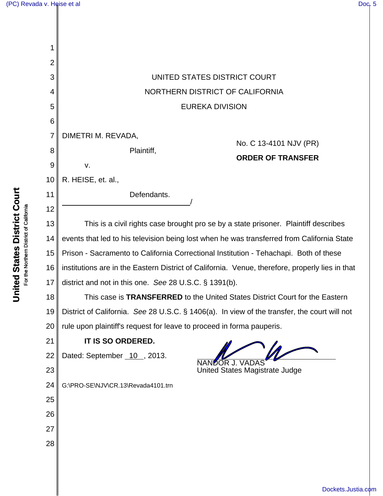| 1               |                                                                                                 |
|-----------------|-------------------------------------------------------------------------------------------------|
| $\overline{2}$  |                                                                                                 |
| 3               | UNITED STATES DISTRICT COURT                                                                    |
| 4               | NORTHERN DISTRICT OF CALIFORNIA                                                                 |
| 5               | <b>EUREKA DIVISION</b>                                                                          |
| $6\phantom{1}6$ |                                                                                                 |
| 7               | DIMETRI M. REVADA,<br>No. C 13-4101 NJV (PR)                                                    |
| 8               | Plaintiff,<br><b>ORDER OF TRANSFER</b>                                                          |
| 9               | v.                                                                                              |
| 10              | R. HEISE, et. al.,                                                                              |
| 11              | Defendants.                                                                                     |
| 12              |                                                                                                 |
| 13              | This is a civil rights case brought pro se by a state prisoner. Plaintiff describes             |
| 14              | events that led to his television being lost when he was transferred from California State      |
| 15              | Prison - Sacramento to California Correctional Institution - Tehachapi. Both of these           |
| 16              | institutions are in the Eastern District of California. Venue, therefore, properly lies in that |
| 17              | district and not in this one. See 28 U.S.C. § 1391(b).                                          |
| 18              | This case is TRANSFERRED to the United States District Court for the Eastern                    |
| 19              | District of California. See 28 U.S.C. § 1406(a). In view of the transfer, the court will not    |
| 20              | rule upon plaintiff's request for leave to proceed in forma pauperis.                           |
| 21              | IT IS SO ORDERED.                                                                               |
| 22              | Dated: September 10, 2013.                                                                      |
| 23              | United States Magistrate Judge                                                                  |
| 24              | G:\PRO-SE\NJV\CR.13\Revada4101.trn                                                              |
| 25              |                                                                                                 |
| 26              |                                                                                                 |
| 27              |                                                                                                 |
| 28              |                                                                                                 |
|                 |                                                                                                 |